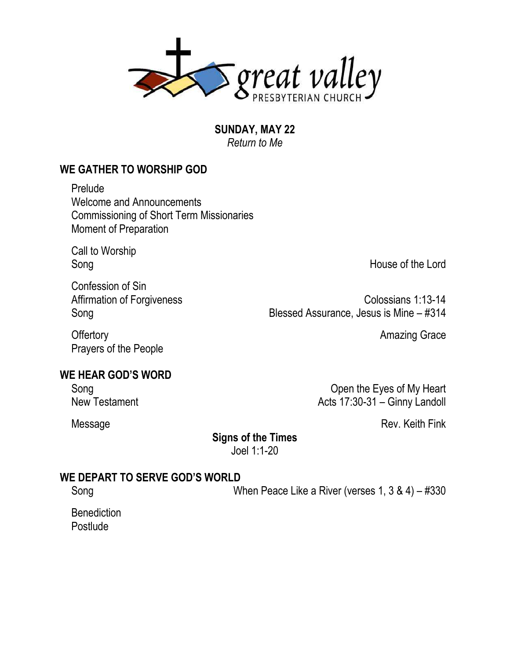

**SUNDAY, MAY 22** *Return to Me*

## **WE GATHER TO WORSHIP GOD**

Prelude Welcome and Announcements Commissioning of Short Term Missionaries Moment of Preparation

Call to Worship

Confession of Sin

Song House of the Lord

Affirmation of Forgiveness Colossians 1:13-14 Song Blessed Assurance, Jesus is Mine – #314

Offertory **Amazing Grace** 

### **WE HEAR GOD'S WORD**

Prayers of the People

Song Communication Communication Communication Communication Communication Communication Communication Communication Communication Communication Communication Communication Communication Communication Communication Communi New Testament **Acts 17:30-31** – Ginny Landoll

Message Rev. Keith Fink

### **Signs of the Times**

Joel 1:1-20

### **WE DEPART TO SERVE GOD'S WORLD**

Song When Peace Like a River (verses 1, 3 & 4) – #330

**Benediction Postlude**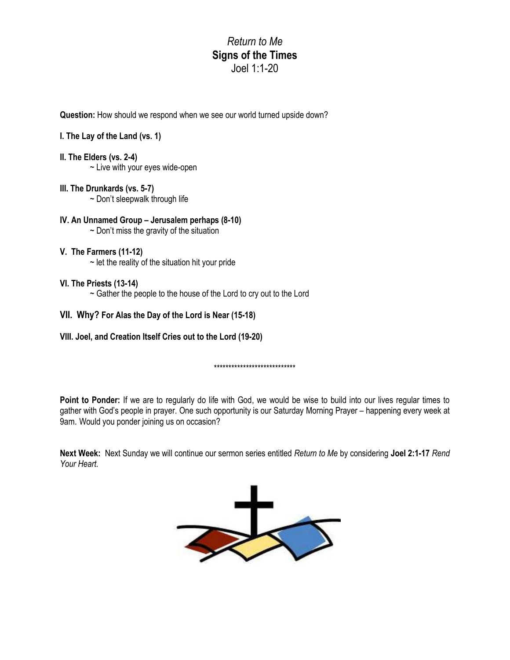*Return to Me* **Signs of the Times** Joel 1:1-20

**Question:** How should we respond when we see our world turned upside down?

#### **I. The Lay of the Land (vs. 1)**

- **II. The Elders (vs. 2-4)**
	- $\sim$  Live with your eyes wide-open

#### **III. The Drunkards (vs. 5-7)**

- $\sim$  Don't sleepwalk through life
- **IV. An Unnamed Group – Jerusalem perhaps (8-10)**  $\sim$  Don't miss the gravity of the situation
- **V. The Farmers (11-12)**  $\sim$  let the reality of the situation hit your pride

#### **VI. The Priests (13-14)**

~ Gather the people to the house of the Lord to cry out to the Lord

#### **VII. Why? For Alas the Day of the Lord is Near (15-18)**

**VIII. Joel, and Creation Itself Cries out to the Lord (19-20)**

\*\*\*\*\*\*\*\*\*\*\*\*\*\*\*\*\*\*\*\*\*\*\*\*\*\*\*\*

Point to Ponder: If we are to regularly do life with God, we would be wise to build into our lives regular times to gather with God's people in prayer. One such opportunity is our Saturday Morning Prayer – happening every week at 9am. Would you ponder joining us on occasion?

**Next Week:** Next Sunday we will continue our sermon series entitled *Return to Me* by considering **Joel 2:1-17** *Rend Your Heart.*

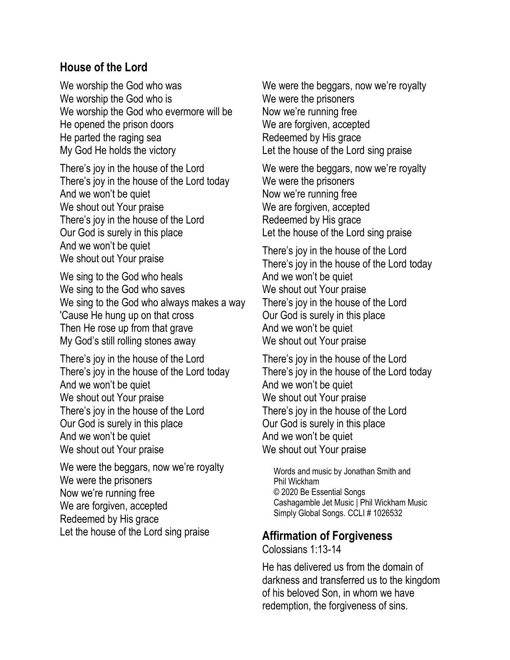## **House of the Lord**

We worship the God who was We worship the God who is We worship the God who evermore will be He opened the prison doors He parted the raging sea My God He holds the victory

There's joy in the house of the Lord There's joy in the house of the Lord today And we won't be quiet We shout out Your praise There's joy in the house of the Lord Our God is surely in this place And we won't be quiet We shout out Your praise

We sing to the God who heals We sing to the God who saves We sing to the God who always makes a way 'Cause He hung up on that cross Then He rose up from that grave My God's still rolling stones away

There's joy in the house of the Lord There's joy in the house of the Lord today And we won't be quiet We shout out Your praise There's joy in the house of the Lord Our God is surely in this place And we won't be quiet We shout out Your praise

We were the beggars, now we're royalty We were the prisoners Now we're running free We are forgiven, accepted Redeemed by His grace Let the house of the Lord sing praise

We were the beggars, now we're royalty We were the prisoners Now we're running free We are forgiven, accepted Redeemed by His grace Let the house of the Lord sing praise

We were the beggars, now we're royalty We were the prisoners Now we're running free We are forgiven, accepted Redeemed by His grace Let the house of the Lord sing praise

There's joy in the house of the Lord There's joy in the house of the Lord today And we won't be quiet We shout out Your praise There's joy in the house of the Lord Our God is surely in this place And we won't be quiet We shout out Your praise

There's joy in the house of the Lord There's joy in the house of the Lord today And we won't be quiet We shout out Your praise There's joy in the house of the Lord Our God is surely in this place And we won't be quiet We shout out Your praise

Words and music by Jonathan Smith and Phil Wickham © 2020 Be Essential Songs Cashagamble Jet Music | Phil Wickham Music Simply Global Songs. CCLI # 1026532

### **Affirmation of Forgiveness**

Colossians 1:13-14

He has delivered us from the domain of darkness and transferred us to the kingdom of his beloved Son, in whom we have redemption, the forgiveness of sins.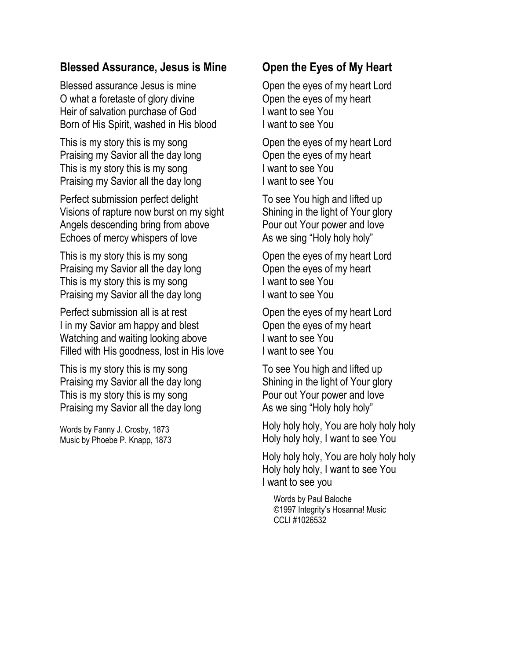## **Blessed Assurance, Jesus is Mine**

Blessed assurance Jesus is mine O what a foretaste of glory divine Heir of salvation purchase of God Born of His Spirit, washed in His blood

This is my story this is my song Praising my Savior all the day long This is my story this is my song Praising my Savior all the day long

Perfect submission perfect delight Visions of rapture now burst on my sight Angels descending bring from above Echoes of mercy whispers of love

This is my story this is my song Praising my Savior all the day long This is my story this is my song Praising my Savior all the day long

Perfect submission all is at rest I in my Savior am happy and blest Watching and waiting looking above Filled with His goodness, lost in His love

This is my story this is my song Praising my Savior all the day long This is my story this is my song Praising my Savior all the day long

Words by Fanny J. Crosby, 1873 Music by Phoebe P. Knapp, 1873

# **Open the Eyes of My Heart**

Open the eyes of my heart Lord Open the eyes of my heart I want to see You I want to see You

Open the eyes of my heart Lord Open the eyes of my heart I want to see You I want to see You

To see You high and lifted up Shining in the light of Your glory Pour out Your power and love As we sing "Holy holy holy"

Open the eyes of my heart Lord Open the eyes of my heart I want to see You I want to see You

Open the eyes of my heart Lord Open the eyes of my heart I want to see You I want to see You

To see You high and lifted up Shining in the light of Your glory Pour out Your power and love As we sing "Holy holy holy"

Holy holy holy, You are holy holy holy Holy holy holy, I want to see You

Holy holy holy, You are holy holy holy Holy holy holy, I want to see You I want to see you

Words by Paul Baloche ©1997 Integrity's Hosanna! Music CCLI #1026532